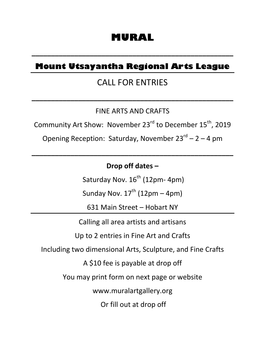# **MURAL**

## **Mount Utsayantha Regional Arts League**

**\_\_\_\_\_\_\_\_\_\_\_\_\_\_\_\_\_\_\_\_\_\_\_\_\_\_\_\_\_\_\_\_\_\_\_\_\_\_\_\_\_\_\_\_\_\_\_\_\_\_\_\_**

## CALL FOR ENTRIES

**\_\_\_\_\_\_\_\_\_\_\_\_\_\_\_\_\_\_\_\_\_\_\_\_\_\_\_\_\_\_\_\_\_\_\_\_\_\_\_\_\_\_\_\_\_\_\_\_\_\_\_\_**

## FINE ARTS AND CRAFTS

Community Art Show: November 23<sup>rd</sup> to December 15<sup>th</sup>, 2019

Opening Reception: Saturday, November  $23^{rd}$  – 2 – 4 pm

**\_\_\_\_\_\_\_\_\_\_\_\_\_\_\_\_\_\_\_\_\_\_\_\_\_\_\_\_\_\_\_\_\_\_\_\_\_\_\_\_\_\_\_\_\_\_\_\_\_\_\_\_**

## Drop off dates –

Saturday Nov.  $16^{th}$  (12pm- 4pm)

Sunday Nov.  $17^{th}$  (12pm – 4pm)

631 Main Street - Hobart NY

Calling all area artists and artisans

Up to 2 entries in Fine Art and Crafts

Including two dimensional Arts, Sculpture, and Fine Crafts

A \$10 fee is payable at drop off

You may print form on next page or website

www.muralartgallery.org

Or fill out at drop off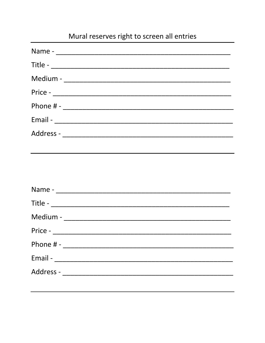# Mural reserves right to screen all entries